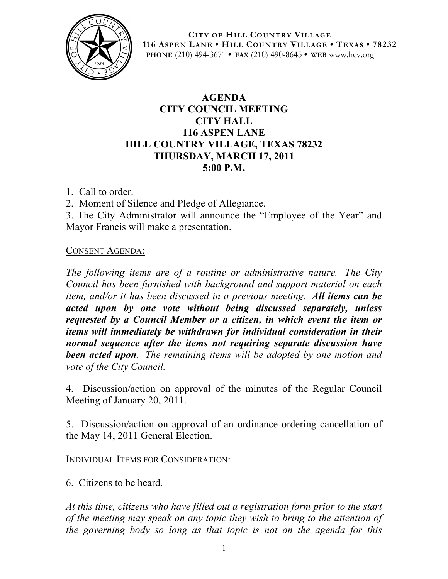

**CITY OF HILL COUNTRY VILLAGE 116 ASPEN LANE • HILL COUNTRY VILLAGE • TEXAS • 78232 PHONE** (210) 494-3671 **• FAX** (210) 490-8645 **• WEB** www.hcv.org

## **AGENDA CITY COUNCIL MEETING CITY HALL 116 ASPEN LANE HILL COUNTRY VILLAGE, TEXAS 78232 THURSDAY, MARCH 17, 2011 5:00 P.M.**

1. Call to order.

2. Moment of Silence and Pledge of Allegiance.

3. The City Administrator will announce the "Employee of the Year" and Mayor Francis will make a presentation.

## CONSENT AGENDA:

*The following items are of a routine or administrative nature. The City Council has been furnished with background and support material on each item, and/or it has been discussed in a previous meeting. All items can be acted upon by one vote without being discussed separately, unless requested by a Council Member or a citizen, in which event the item or items will immediately be withdrawn for individual consideration in their normal sequence after the items not requiring separate discussion have been acted upon. The remaining items will be adopted by one motion and vote of the City Council.*

4. Discussion/action on approval of the minutes of the Regular Council Meeting of January 20, 2011.

5. Discussion/action on approval of an ordinance ordering cancellation of the May 14, 2011 General Election.

INDIVIDUAL ITEMS FOR CONSIDERATION:

6. Citizens to be heard.

*At this time, citizens who have filled out a registration form prior to the start of the meeting may speak on any topic they wish to bring to the attention of the governing body so long as that topic is not on the agenda for this*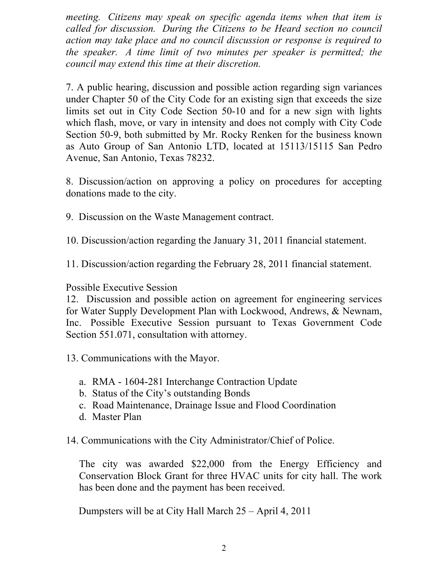*meeting. Citizens may speak on specific agenda items when that item is called for discussion. During the Citizens to be Heard section no council action may take place and no council discussion or response is required to the speaker. A time limit of two minutes per speaker is permitted; the council may extend this time at their discretion.*

7. A public hearing, discussion and possible action regarding sign variances under Chapter 50 of the City Code for an existing sign that exceeds the size limits set out in City Code Section 50-10 and for a new sign with lights which flash, move, or vary in intensity and does not comply with City Code Section 50-9, both submitted by Mr. Rocky Renken for the business known as Auto Group of San Antonio LTD, located at 15113/15115 San Pedro Avenue, San Antonio, Texas 78232.

8. Discussion/action on approving a policy on procedures for accepting donations made to the city.

9. Discussion on the Waste Management contract.

10. Discussion/action regarding the January 31, 2011 financial statement.

11. Discussion/action regarding the February 28, 2011 financial statement.

Possible Executive Session

12. Discussion and possible action on agreement for engineering services for Water Supply Development Plan with Lockwood, Andrews, & Newnam, Inc. Possible Executive Session pursuant to Texas Government Code Section 551.071, consultation with attorney.

13. Communications with the Mayor.

- a. RMA 1604-281 Interchange Contraction Update
- b. Status of the City's outstanding Bonds
- c. Road Maintenance, Drainage Issue and Flood Coordination
- d. Master Plan
- 14. Communications with the City Administrator/Chief of Police.

The city was awarded \$22,000 from the Energy Efficiency and Conservation Block Grant for three HVAC units for city hall. The work has been done and the payment has been received.

Dumpsters will be at City Hall March 25 – April 4, 2011